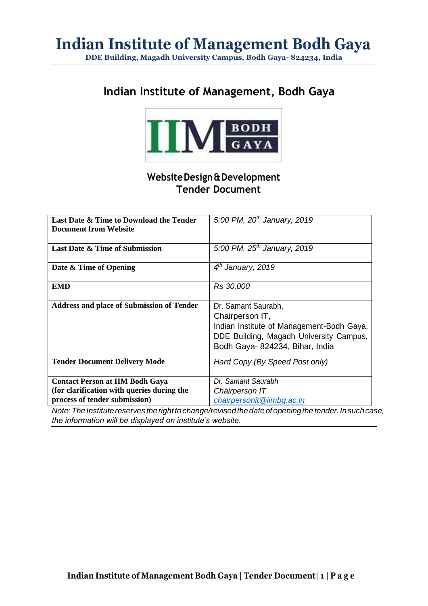## **Indian Institute of Management, Bodh Gaya**



### **WebsiteDesign&Development Tender Document**

| Last Date & Time to Download the Tender<br><b>Document from Website</b>                                                                                                   | 5:00 PM, $20^{th}$ January, 2019                                                                                                                                  |
|---------------------------------------------------------------------------------------------------------------------------------------------------------------------------|-------------------------------------------------------------------------------------------------------------------------------------------------------------------|
| <b>Last Date &amp; Time of Submission</b>                                                                                                                                 | 5:00 PM, $25^{th}$ January, 2019                                                                                                                                  |
| Date & Time of Opening                                                                                                                                                    | $4th$ January, 2019                                                                                                                                               |
| <b>EMD</b>                                                                                                                                                                | Rs 30,000                                                                                                                                                         |
| <b>Address and place of Submission of Tender</b>                                                                                                                          | Dr. Samant Saurabh,<br>Chairperson IT,<br>Indian Institute of Management-Bodh Gaya,<br>DDE Building, Magadh University Campus,<br>Bodh Gaya- 824234, Bihar, India |
| <b>Tender Document Delivery Mode</b>                                                                                                                                      | Hard Copy (By Speed Post only)                                                                                                                                    |
| <b>Contact Person at IIM Bodh Gaya</b>                                                                                                                                    | Dr. Samant Saurabh                                                                                                                                                |
| (for clarification with queries during the<br>process of tender submission)<br>Note that $\bm{\tau}$ is a contribution of a series of the set of a large $\bm{\tau}$ is a | Chairperson IT<br>chairpersonit@iimbg.ac.in<br>formation of the context of the context of the transition. The concell                                             |

*Note: The Institute reserves the right to change/revised the date of opening the tender. In such case, the information will be displayed on institute's website.*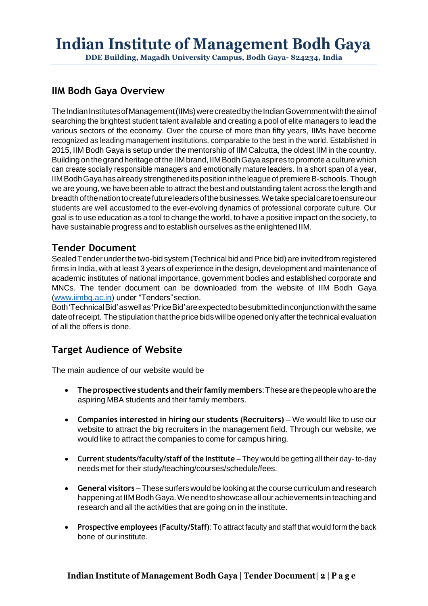## **IIM Bodh Gaya Overview**

The Indian Institutes of Management (IIMs) were created by the Indian Government with the aim of searching the brightest student talent available and creating a pool of elite managers to lead the various sectors of the economy. Over the course of more than fifty years, IIMs have become recognized as leading management institutions, comparable to the best in the world. Established in 2015, IIM Bodh Gaya is setup under the mentorship of IIM Calcutta, the oldest IIM in the country. Building on the grand heritage of the IIM brand, IIM Bodh Gaya aspires to promote a culture which can create socially responsible managers and emotionally mature leaders. In a short span of a year, IIMBodhGayahasalreadystrengtheneditspositionintheleagueofpremiereB-schools. Though we are young, we have been able to attract the best and outstanding talent across the length and breadth of the nation to create future leaders of the businesses. We take special care to ensure our students are well accustomed to the ever-evolving dynamics of professional corporate culture. Our goal is to use education as a tool to change the world, to have a positive impact on the society, to have sustainable progress and to establish ourselves as the enlightened IIM.

### **Tender Document**

Sealed Tender under the two-bid system (Technical bid and Price bid) are invited from registered firms in India, with at least 3 years of experience in the design, development and maintenance of academic institutes of national importance, government bodies and established corporate and MNCs. The tender document can be downloaded from the website of IIM Bodh Gaya [\(www.iimbg.ac.in\)](http://www.iimbg.ac.in/) under "Tenders"section.

Both'TechnicalBid'aswellas'PriceBid'areexpectedtobesubmittedinconjunctionwiththesame date of receipt. The stipulation that the price bids will be opened only after the technical evaluation of all the offers is done.

### **Target Audience of Website**

The main audience of our website would be

- **Theprospective students and their family members**:Thesearethepeoplewhoarethe aspiring MBA students and their family members.
- **Companies interested in hiring our students (Recruiters)** We would like to use our website to attract the big recruiters in the management field. Through our website, we would like to attract the companies to come for campus hiring.
- **Current students/faculty/staff of the Institute** They would be getting all their day- to-day needs met for their study/teaching/courses/schedule/fees.
- **General visitors** –These surfers would be looking at the course curriculum and research happening at IIMBodhGaya.We need to showcase allour achievements in teaching and research and all the activities that are going on in the institute.
- **Prospective employees (Faculty/Staff)**: To attract faculty and staff that would form the back bone of ourinstitute.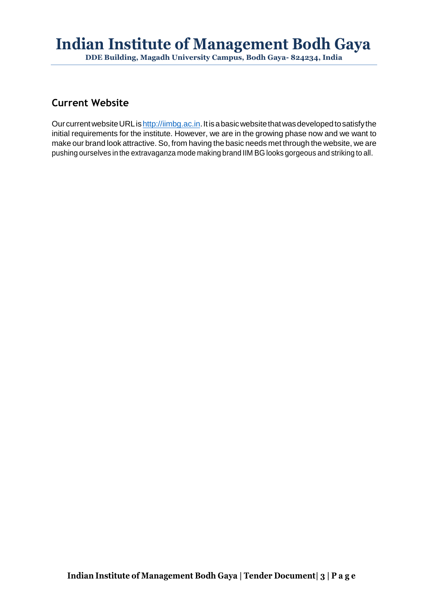**DDE Building, Magadh University Campus, Bodh Gaya- 824234, India**

### **Current Website**

Our current website URL is http://iimbg.ac.in. It is a basic website that was developed to satisfy the initial requirements for the institute. However, we are in the growing phase now and we want to make our brand look attractive. So, from having the basic needs met through the website, we are pushing ourselves in the extravaganza mode making brand IIM BG looks gorgeous and striking to all.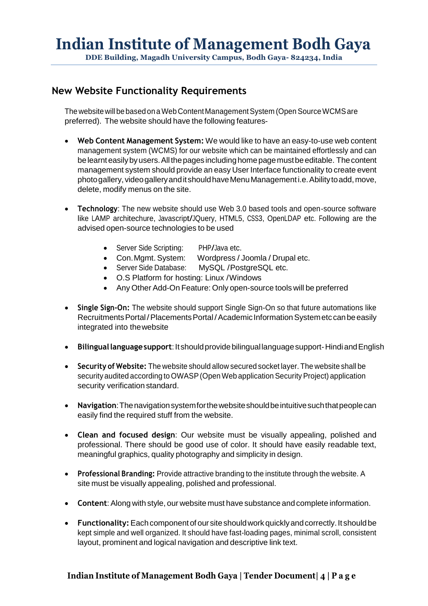### **New Website Functionality Requirements**

The website will be based on a Web Content Management System (Open Source WCMS are preferred). The website should have the following features-

- **Web Content Management System:** We would like to have an easy-to-use web content management system (WCMS) for our website which can be maintained effortlessly and can be learnt easily by users. All the pages including home page must be editable. The content management system should provide an easy User Interface functionality to create event photogallery, videogalleryanditshouldhaveMenuManagementi.e.Abilitytoadd,move, delete, modify menus on the site.
- **Technology**: The new website should use Web 3.0 based tools and open-source software like LAMP architechure, Javascript/JQuery, HTML5, CSS3, OpenLDAP etc. Following are the advised open-source technologies to be used
	- Server Side Scripting: PHP/Java etc.
	- Con.Mgmt. System: Wordpress / Joomla / Drupal etc.
	- Server Side Database: MySQL /PostgreSQL etc.
	- O.S Platform for hosting: Linux /Windows
	- Any Other Add-On Feature: Only open-source tools will be preferred
- **Single Sign-On:** The website should support Single Sign-On so that future automations like Recruitments Portal/Placements Portal/Academic Information System etc can be easily integrated into thewebsite
- **Bilinguallanguagesupport**:Itshouldprovidebilingual languagesupport-HindiandEnglish
- **Security of Website:** The website should allow secured socket layer. The website shall be security audited according to OWASP (Open Web application Security Project) application security verification standard.
- **Navigation**:Thenavigationsystemforthewebsiteshouldbeintuitivesuchthatpeoplecan easily find the required stuff from the website.
- **Clean and focused design**: Our website must be visually appealing, polished and professional. There should be good use of color. It should have easily readable text, meaningful graphics, quality photography and simplicity in design.
- **Professional Branding:** Provide attractive branding to the institute through the website. A site must be visually appealing, polished and professional.
- **Content**: Along with style, our website must have substance and complete information.
- **Functionality:** Each component of our site should work quickly and correctly. It should be kept simple and well organized. It should have fast-loading pages, minimal scroll, consistent layout, prominent and logical navigation and descriptive link text.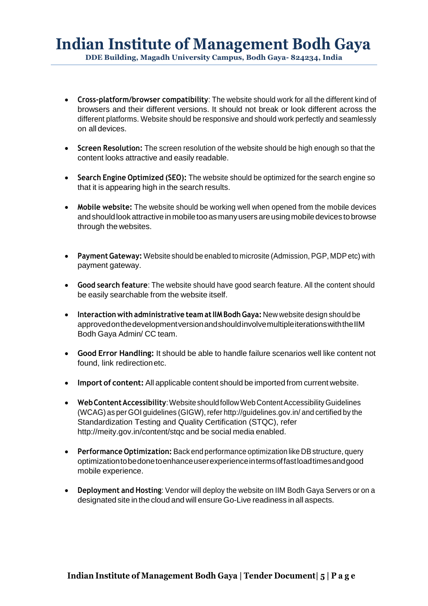- **Cross-platform/browser compatibility**: The website should work for all the different kind of browsers and their different versions. It should not break or look different across the different platforms. Website should be responsive and should work perfectly and seamlessly on all devices.
- **Screen Resolution:** The screen resolution of the website should be high enough so that the content looks attractive and easily readable.
- **Search Engine Optimized (SEO):** The website should be optimized for the search engine so that it is appearing high in the search results.
- **Mobile website:** The website should be working well when opened from the mobile devices and should look attractive in mobile too as many users are using mobile devices to browse through the websites.
- **PaymentGateway:** Website should be enabled to microsite (Admission, PGP, MDP etc) with payment gateway.
- **Good search feature**: The website should have good search feature. All the content should be easily searchable from the website itself.
- **Interaction with administrative team atIIMBodhGaya:** New website design should be approvedonthedevelopmentversionandshouldinvolvemultipleiterationswiththeIIM Bodh Gaya Admin/ CC team.
- **Good Error Handling:** It should be able to handle failure scenarios well like content not found, link redirectionetc.
- **Import of content:** All applicable content should be imported from current website.
- Web Content Accessibility: Website should follow Web Content Accessibility Guidelines (WCAG) as per GOI guidelines (GIGW), refer <http://guidelines.gov.in/> and certified by the Standardization Testing and Quality Certification (STQC), refe[r](http://meity.gov.in/content/stqc) <http://meity.gov.in/content/stqc> and be social media enabled.
- **Performance Optimization:** Back end performance optimization like DBstructure, query optimizationtobedonetoenhanceuserexperienceintermsoffastloadtimesandgood mobile experience.
- **Deployment and Hosting**: Vendor will deploy the website on IIM Bodh Gaya Servers or on a designated site in the cloud and will ensure Go-Live readiness in all aspects.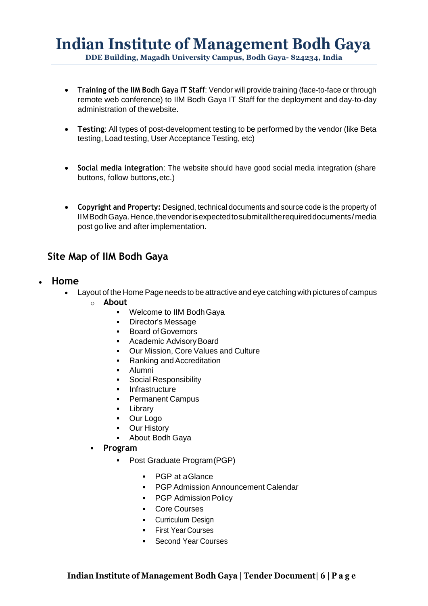- **Training of the IIM Bodh Gaya IT Staff**: Vendor will provide training (face-to-face or through remote web conference) to IIM Bodh Gaya IT Staff for the deployment and day-to-day administration of thewebsite.
- **Testing**: All types of post-development testing to be performed by the vendor (like Beta testing, Load testing, User Acceptance Testing, etc)
- **Social media integration**: The website should have good social media integration (share buttons, follow buttons,etc.)
- **Copyright and Property:** Designed, technical documents and source code is the property of IIMBodhGaya.Hence,thevendorisexpectedtosubmitalltherequireddocuments/media post go live and after implementation.

### **Site Map of IIM Bodh Gaya**

- **Home**
	- Layout of the Home Page needs to be attractive and eye catching with pictures of campus
		- o **About**
			- Welcome to IIM Bodh Gaya
			- Director's Message
			- Board of Governors
			- Academic Advisory Board
			- Our Mission, Core Values and Culture
			- Ranking and Accreditation
			- Alumni
			- Social Responsibility
			- Infrastructure
			- Permanent Campus
			- Library
			- Our Logo
			- Our History
			- About Bodh Gaya
		- **Program** 
			- Post Graduate Program (PGP)
				- PGP at aGlance
				- PGP Admission Announcement Calendar
				- PGP Admission Policy
				- Core Courses
				- **•** Curriculum Design
				- First Year Courses
				- Second Year Courses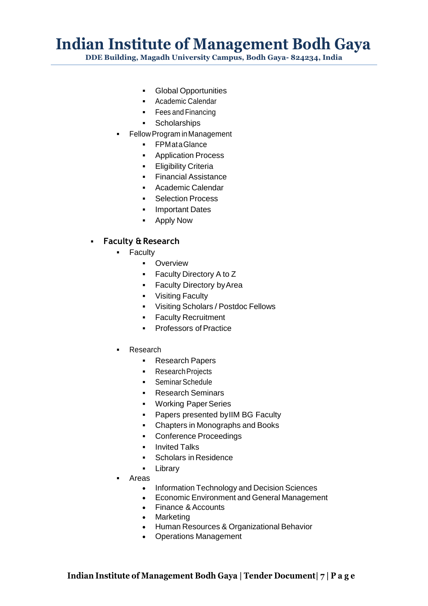**DDE Building, Magadh University Campus, Bodh Gaya- 824234, India**

- Global Opportunities
- Academic Calendar
- Fees and Financing
- Scholarships
- Fellow Program in Management
	- FPMataGlance
	- Application Process
	- **•** Eligibility Criteria
	- Financial Assistance
	- Academic Calendar
	- Selection Process
	- **·** Important Dates
	- Apply Now

#### ▪ **Faculty &Research**

- Faculty
	- **•** Overview
	- Faculty Directory A to Z
	- **EXECUTE Faculty Directory by Area**
	- **•** Visiting Faculty
	- Visiting Scholars / Postdoc Fellows
	- **EXECULTY Recruitment**
	- Professors of Practice
- **Research** 
	- Research Papers
	- Research Projects
	- Seminar Schedule
	- Research Seminars
	- Working Paper Series
	- Papers presented by IIM BG Faculty
	- Chapters in Monographs and Books
	- Conference Proceedings
	- Invited Talks
	- Scholars in Residence
	- Library
- Areas
	- Information Technology and Decision Sciences
	- Economic Environment and General Management
	- Finance & Accounts
	- Marketing
	- Human Resources & Organizational Behavior
	- Operations Management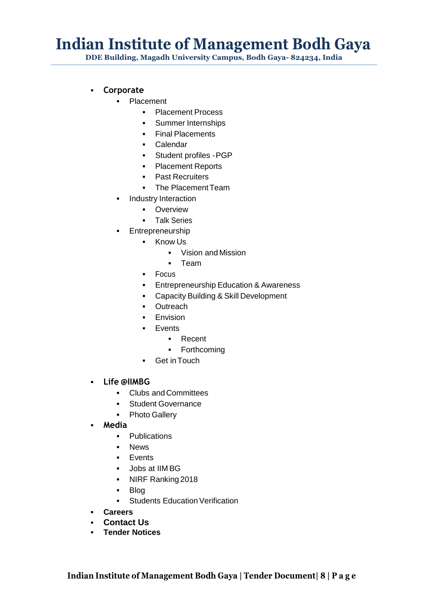**DDE Building, Magadh University Campus, Bodh Gaya- 824234, India**

- **Corporate**
	- Placement
		- Placement Process
		- **•** Summer Internships
		- Final Placements
		- Calendar
		- Student profiles -PGP
		- Placement Reports
		- Past Recruiters
		- The Placement Team
	- **·** Industry Interaction
		- **•** Overview
		- Talk Series
	- **•** Entrepreneurship
		- Know Us
			- Vision and Mission
			- Team
		- Focus
		- **Entrepreneurship Education & Awareness**
		- Capacity Building & Skill Development
		- Outreach
		- **Envision**
		- Events
			- Recent
			- Forthcoming
		- **•** Get in Touch
- **Life @IIMBG**
	- Clubs and Committees
	- Student Governance
	- Photo Gallery
- **Media**
	- Publications
	- News
	- Events
	- Jobs at IIM BG
	- NIRF Ranking 2018
	- Blog
	- Students Education Verification
- **Careers**
- **Contact Us**
- **Tender Notices**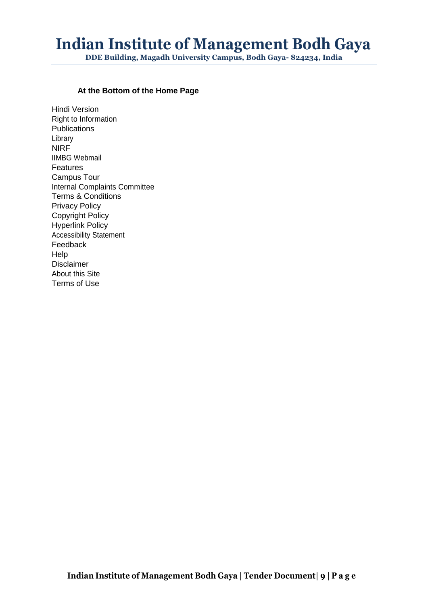**DDE Building, Magadh University Campus, Bodh Gaya- 824234, India**

#### **At the Bottom of the Home Page**

Hindi Version Right to Information **Publications** Library NIRF IIMBG Webmail **Features** Campus Tour Internal Complaints Committee Terms & Conditions Privacy Policy Copyright Policy Hyperlink Policy Accessibility Statement Feedback Help Disclaimer About this Site Terms of Use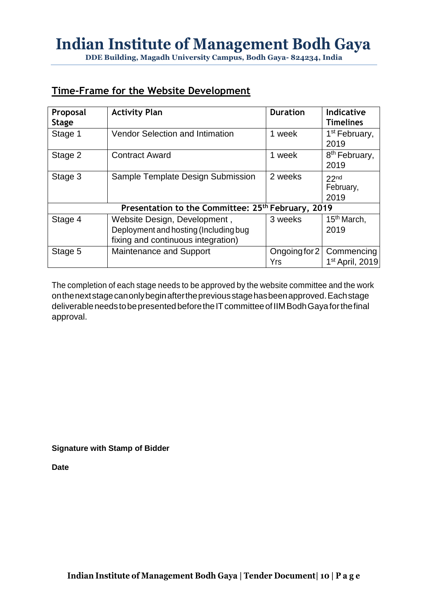## **Time-Frame for the Website Development**

| Proposal<br><b>Stage</b>                                       | <b>Activity Plan</b>                                                                                        | <b>Duration</b>      | <b>Indicative</b><br><b>Timelines</b>     |  |  |
|----------------------------------------------------------------|-------------------------------------------------------------------------------------------------------------|----------------------|-------------------------------------------|--|--|
| Stage 1                                                        | <b>Vendor Selection and Intimation</b>                                                                      | 1 week               | 1 <sup>st</sup> February,<br>2019         |  |  |
| Stage 2                                                        | <b>Contract Award</b>                                                                                       | 1 week               | 8 <sup>th</sup> February,<br>2019         |  |  |
| Stage 3                                                        | Sample Template Design Submission                                                                           | 2 weeks              | 22 <sub>nd</sub><br>February,<br>2019     |  |  |
| Presentation to the Committee: 25 <sup>th</sup> February, 2019 |                                                                                                             |                      |                                           |  |  |
| Stage 4                                                        | Website Design, Development,<br>Deployment and hosting (Including bug<br>fixing and continuous integration) | 3 weeks              | 15 <sup>th</sup> March,<br>2019           |  |  |
| Stage 5                                                        | Maintenance and Support                                                                                     | Ongoing for 2<br>Yrs | Commencing<br>1 <sup>st</sup> April, 2019 |  |  |

The completion of each stage needs to be approved by the website committee and the work onthenextstagecanonlybeginafterthepreviousstagehasbeenapproved.Eachstage deliverable needs to be presented before the IT committee of IIM Bodh Gaya for the final approval.

**Signature with Stamp of Bidder**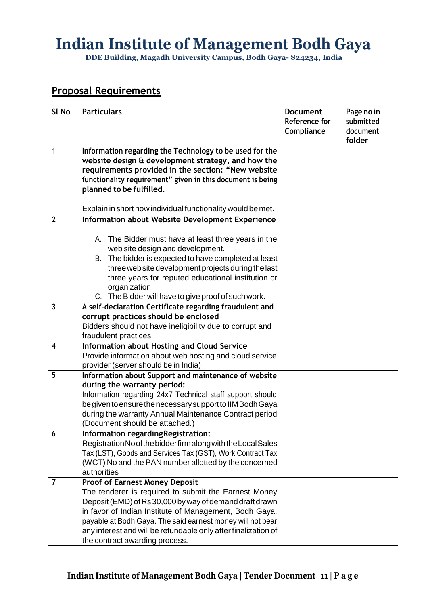**DDE Building, Magadh University Campus, Bodh Gaya- 824234, India**

## **Proposal Requirements**

| SI <sub>No</sub> | <b>Particulars</b>                                             | <b>Document</b> | Page no in |
|------------------|----------------------------------------------------------------|-----------------|------------|
|                  |                                                                | Reference for   | submitted  |
|                  |                                                                | Compliance      | document   |
|                  |                                                                |                 | folder     |
| 1                | Information regarding the Technology to be used for the        |                 |            |
|                  | website design & development strategy, and how the             |                 |            |
|                  | requirements provided in the section: "New website             |                 |            |
|                  | functionality requirement" given in this document is being     |                 |            |
|                  | planned to be fulfilled.                                       |                 |            |
|                  |                                                                |                 |            |
|                  | Explain in short how individual functionality would be met.    |                 |            |
| $\overline{2}$   | Information about Website Development Experience               |                 |            |
|                  |                                                                |                 |            |
|                  | A. The Bidder must have at least three years in the            |                 |            |
|                  | web site design and development.                               |                 |            |
|                  | B. The bidder is expected to have completed at least           |                 |            |
|                  | three web site development projects during the last            |                 |            |
|                  | three years for reputed educational institution or             |                 |            |
|                  | organization.                                                  |                 |            |
|                  | C. The Bidder will have to give proof of such work.            |                 |            |
| 3                | A self-declaration Certificate regarding fraudulent and        |                 |            |
|                  | corrupt practices should be enclosed                           |                 |            |
|                  | Bidders should not have ineligibility due to corrupt and       |                 |            |
|                  | fraudulent practices                                           |                 |            |
| 4                | <b>Information about Hosting and Cloud Service</b>             |                 |            |
|                  | Provide information about web hosting and cloud service        |                 |            |
|                  | provider (server should be in India)                           |                 |            |
| 5                | Information about Support and maintenance of website           |                 |            |
|                  | during the warranty period:                                    |                 |            |
|                  | Information regarding 24x7 Technical staff support should      |                 |            |
|                  | be given to ensure the necessary support to IIM Bodh Gaya      |                 |            |
|                  | during the warranty Annual Maintenance Contract period         |                 |            |
|                  | (Document should be attached.)                                 |                 |            |
| 6                | Information regarding Registration:                            |                 |            |
|                  | Registration No of the bidder firm along with the Local Sales  |                 |            |
|                  | Tax (LST), Goods and Services Tax (GST), Work Contract Tax     |                 |            |
|                  | (WCT) No and the PAN number allotted by the concerned          |                 |            |
|                  | authorities                                                    |                 |            |
| 7                | <b>Proof of Earnest Money Deposit</b>                          |                 |            |
|                  | The tenderer is required to submit the Earnest Money           |                 |            |
|                  | Deposit (EMD) of Rs 30,000 by way of demand draft drawn        |                 |            |
|                  | in favor of Indian Institute of Management, Bodh Gaya,         |                 |            |
|                  | payable at Bodh Gaya. The said earnest money will not bear     |                 |            |
|                  | any interest and will be refundable only after finalization of |                 |            |
|                  | the contract awarding process.                                 |                 |            |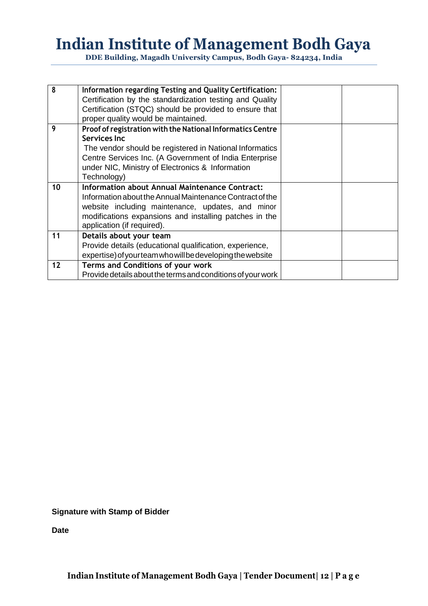**DDE Building, Magadh University Campus, Bodh Gaya- 824234, India**

| 8  | Information regarding Testing and Quality Certification:    |  |
|----|-------------------------------------------------------------|--|
|    |                                                             |  |
|    | Certification by the standardization testing and Quality    |  |
|    | Certification (STQC) should be provided to ensure that      |  |
|    | proper quality would be maintained.                         |  |
| 9  | Proof of registration with the National Informatics Centre  |  |
|    | Services Inc                                                |  |
|    | The vendor should be registered in National Informatics     |  |
|    | Centre Services Inc. (A Government of India Enterprise      |  |
|    | under NIC, Ministry of Electronics & Information            |  |
|    | Technology)                                                 |  |
| 10 | Information about Annual Maintenance Contract:              |  |
|    | Information about the Annual Maintenance Contract of the    |  |
|    | website including maintenance, updates, and minor           |  |
|    | modifications expansions and installing patches in the      |  |
|    | application (if required).                                  |  |
| 11 | Details about your team                                     |  |
|    | Provide details (educational qualification, experience,     |  |
|    | expertise) of your team who will be developing the website  |  |
| 12 | <b>Terms and Conditions of your work</b>                    |  |
|    | Provide details about the terms and conditions of your work |  |

**Signature with Stamp of Bidder**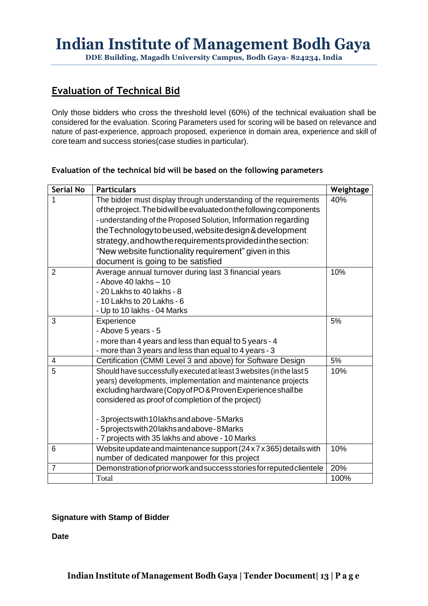**DDE Building, Magadh University Campus, Bodh Gaya- 824234, India**

### **Evaluation of Technical Bid**

Only those bidders who cross the threshold level (60%) of the technical evaluation shall be considered for the evaluation. Scoring Parameters used for scoring will be based on relevance and nature of past-experience, approach proposed, experience in domain area, experience and skill of core team and success stories(case studies in particular).

| <b>Serial No</b> | <b>Particulars</b>                                                    | Weightage |
|------------------|-----------------------------------------------------------------------|-----------|
| 1                | The bidder must display through understanding of the requirements     | 40%       |
|                  | of the project. The bid will be evaluated on the following components |           |
|                  | - understanding of the Proposed Solution, Information regarding       |           |
|                  | the Technology to be used, website design & development               |           |
|                  | strategy, and how the requirements provided in the section:           |           |
|                  | "New website functionality requirement" given in this                 |           |
|                  | document is going to be satisfied                                     |           |
| $\overline{2}$   | Average annual turnover during last 3 financial years                 | 10%       |
|                  | - Above 40 lakhs $-10$                                                |           |
|                  | - 20 Lakhs to 40 lakhs - 8                                            |           |
|                  | - 10 Lakhs to 20 Lakhs - 6                                            |           |
|                  | - Up to 10 lakhs - 04 Marks                                           |           |
| 3                | Experience                                                            | 5%        |
|                  | - Above 5 years - 5                                                   |           |
|                  | - more than 4 years and less than equal to 5 years - 4                |           |
|                  | - more than 3 years and less than equal to 4 years - 3                |           |
| 4                | Certification (CMMI Level 3 and above) for Software Design            | 5%        |
| 5                | Should have successfully executed at least 3 websites (in the last 5  | 10%       |
|                  | years) developments, implementation and maintenance projects          |           |
|                  | excluding hardware (Copy of PO& Proven Experience shall be            |           |
|                  | considered as proof of completion of the project)                     |           |
|                  | - 3 projects with 10 lakhs and above - 5 Marks                        |           |
|                  | - 5 projects with 20 lakhs and above - 8 Marks                        |           |
|                  | - 7 projects with 35 lakhs and above - 10 Marks                       |           |
| 6                | Website update and maintenance support (24 x 7 x 365) details with    | 10%       |
|                  | number of dedicated manpower for this project                         |           |
| $\overline{7}$   | Demonstration of prior work and success stories for reputed clientele | 20%       |
|                  | Total                                                                 | 100%      |

#### **Evaluation of the technical bid will be based on the following parameters**

#### **Signature with Stamp of Bidder**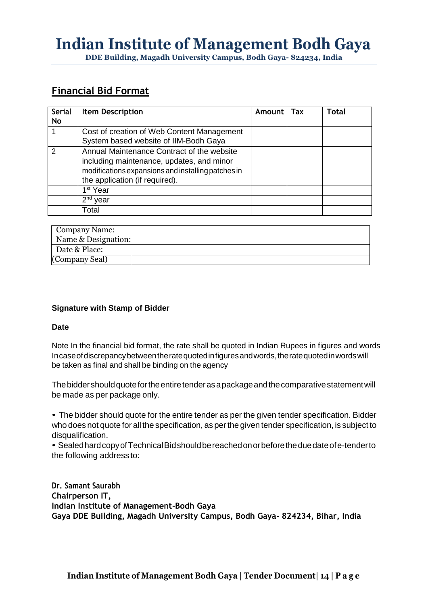**DDE Building, Magadh University Campus, Bodh Gaya- 824234, India**

### **Financial Bid Format**

| <b>Serial</b><br><b>No</b> | <b>Item Description</b>                                                                                                                                                         | Amount | Tax | Total |
|----------------------------|---------------------------------------------------------------------------------------------------------------------------------------------------------------------------------|--------|-----|-------|
|                            | Cost of creation of Web Content Management<br>System based website of IIM-Bodh Gaya                                                                                             |        |     |       |
| $\mathcal{P}$              | Annual Maintenance Contract of the website<br>including maintenance, updates, and minor<br>modifications expansions and installing patches in<br>the application (if required). |        |     |       |
|                            | 1 <sup>st</sup> Year                                                                                                                                                            |        |     |       |
|                            | $2nd$ year                                                                                                                                                                      |        |     |       |
|                            | Total                                                                                                                                                                           |        |     |       |

| Company Name:       |  |
|---------------------|--|
| Name & Designation: |  |
| Date & Place:       |  |
| (Company Seal)      |  |

#### **Signature with Stamp of Bidder**

#### **Date**

Note In the financial bid format, the rate shall be quoted in Indian Rupees in figures and words Incaseofdiscrepancybetweentheratequotedinfiguresandwords,theratequotedinwordswill be taken as final and shall be binding on the agency

Thebiddershouldquotefortheentiretenderasapackageandthecomparativestatementwill be made as per package only.

• The bidder should quote for the entire tender as per the given tender specification. Bidder who does not quote for all the specification, as perthe given tender specification, is subject to disqualification.

• SealedhardcopyofTechnicalBidshouldbereachedonorbeforetheduedateofe-tenderto the following address to:

**Dr. Samant Saurabh Chairperson IT, Indian Institute of Management-Bodh Gaya Gaya DDE Building, Magadh University Campus, Bodh Gaya- 824234, Bihar, India**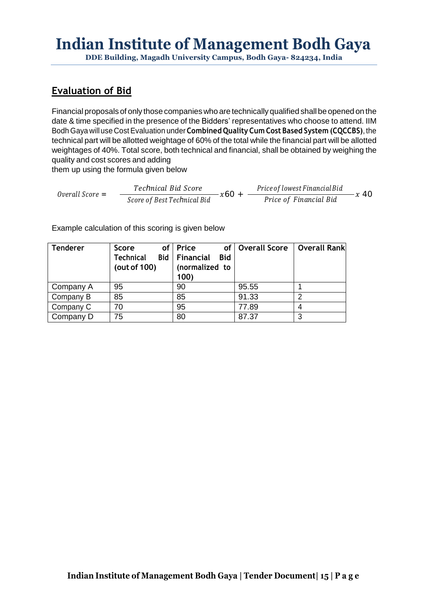**DDE Building, Magadh University Campus, Bodh Gaya- 824234, India**

## **Evaluation of Bid**

Financial proposals of only those companies who are technically qualified shall be opened on the date & time specified in the presence of the Bidders' representatives who choose to attend. IIM Bodh Gaya will use CostEvaluation under **Combined Quality Cum Cost Based System (CQCCBS)**, the technical part will be allotted weightage of 60% of the total while the financial part will be allotted weightages of 40%. Total score, both technical and financial, shall be obtained by weighing the quality and cost scores and adding

them up using the formula given below

0verall Score = Technical Bid Score *Technical Bid Score*<br> *Score of BestTechnical Bid*  $x60 + \frac{Price of lowest Financial Bid}{Price of Financial Bid}x40$ 

Example calculation of this scoring is given below

| <b>Tenderer</b> | <b>Score</b>     | of Price                      | of   Overall Score | <b>Overall Rank</b> |
|-----------------|------------------|-------------------------------|--------------------|---------------------|
|                 | <b>Technical</b> | Bid   Financial<br><b>Bid</b> |                    |                     |
|                 | (out of 100)     | (normalized to                |                    |                     |
|                 |                  | 100)                          |                    |                     |
| Company A       | 95               | 90                            | 95.55              |                     |
| Company B       | 85               | 85                            | 91.33              |                     |
| Company C       | 70               | 95                            | 77.89              |                     |
| Company D       | 75               | 80                            | 87.37              | 3                   |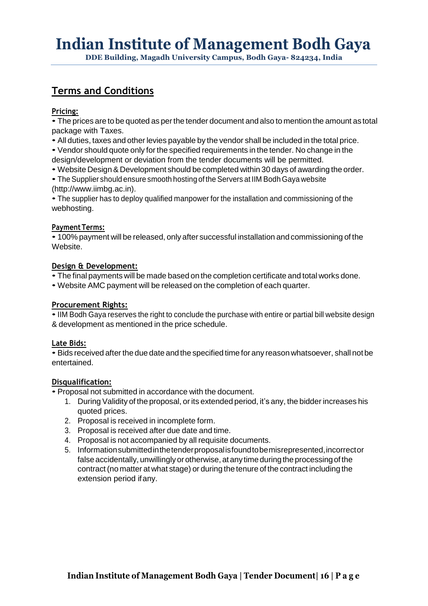**DDE Building, Magadh University Campus, Bodh Gaya- 824234, India**

## **Terms and Conditions**

#### **Pricing:**

• The prices are to be quoted as per the tender document and also to mention the amount as total package with Taxes.

- All duties, taxes and other levies payable by the vendor shall be included in the total price.
- Vendor should quote only for the specified requirements in the tender. No change in the
- design/development or deviation from the tender documents will be permitted.
- Website Design& Development should be completed within 30 days of awarding the order.
- The Supplier should ensure smooth hosting of the Servers at IIM Bodh Gaya website (http://www.iimbg.ac.in).

• The supplier has to deploy qualified manpower for the installation and commissioning of the webhosting.

#### **Payment Terms:**

• 100% payment will be released, only after successful installation and commissioning of the Website.

#### **Design & Development:**

- The final payments will be made based on the completion certificate and total works done.
- Website AMC payment will be released on the completion of each quarter.

#### **Procurement Rights:**

•IIM Bodh Gaya reserves the right to conclude the purchase with entire or partial bill website design & development as mentioned in the price schedule.

#### **Late Bids:**

• Bids received after the due date and the specified time for any reason whatsoever, shall not be entertained.

#### **Disqualification:**

• Proposal not submitted in accordance with the document.

- 1. During Validity of the proposal, or its extended period, it's any, the bidder increases his quoted prices.
- 2. Proposal is received in incomplete form.
- 3. Proposal is received after due date and time.
- 4. Proposal is not accompanied by all requisite documents.
- 5. Informationsubmittedinthetenderproposalisfoundtobemisrepresented,incorrector false accidentally, unwillingly or otherwise, at any time during the processing of the contract(no matter at what stage) or during the tenure of the contract including the extension period ifany.